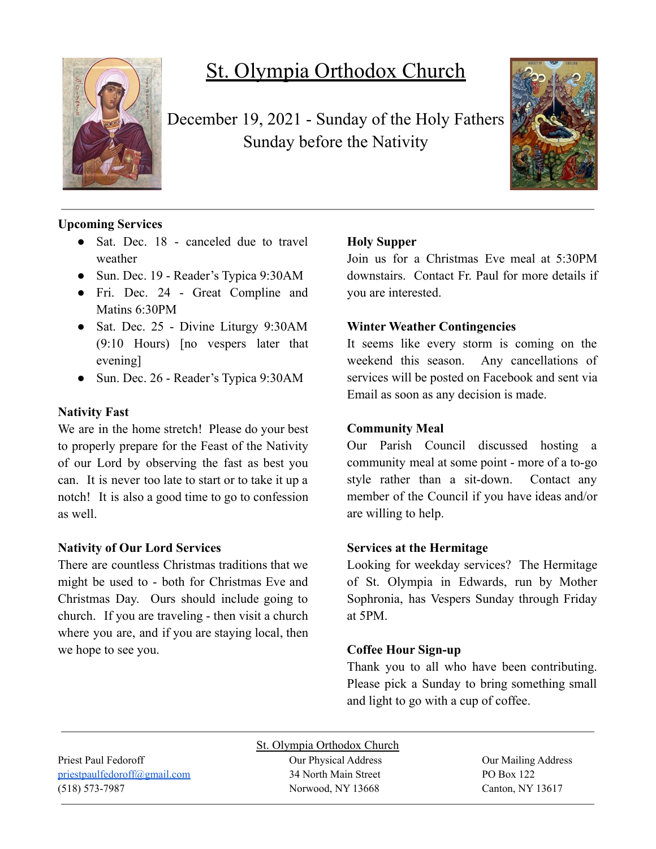

# St. Olympia Orthodox Church

December 19, 2021 - Sunday of the Holy Fathers Sunday before the Nativity



## **Upcoming Services**

- Sat. Dec. 18 canceled due to travel weather
- Sun. Dec. 19 Reader's Typica 9:30AM
- Fri. Dec. 24 Great Compline and Matins 6:30PM
- Sat. Dec. 25 Divine Liturgy 9:30AM (9:10 Hours) [no vespers later that evening]
- Sun. Dec. 26 Reader's Typica 9:30AM

## **Nativity Fast**

We are in the home stretch! Please do your best to properly prepare for the Feast of the Nativity of our Lord by observing the fast as best you can. It is never too late to start or to take it up a notch! It is also a good time to go to confession as well.

## **Nativity of Our Lord Services**

There are countless Christmas traditions that we might be used to - both for Christmas Eve and Christmas Day. Ours should include going to church. If you are traveling - then visit a church where you are, and if you are staying local, then we hope to see you.

## **Holy Supper**

Join us for a Christmas Eve meal at 5:30PM downstairs. Contact Fr. Paul for more details if you are interested.

## **Winter Weather Contingencies**

It seems like every storm is coming on the weekend this season. Any cancellations of services will be posted on Facebook and sent via Email as soon as any decision is made.

#### **Community Meal**

Our Parish Council discussed hosting a community meal at some point - more of a to-go style rather than a sit-down. Contact any member of the Council if you have ideas and/or are willing to help.

## **Services at the Hermitage**

Looking for weekday services? The Hermitage of St. Olympia in Edwards, run by Mother Sophronia, has Vespers Sunday through Friday at 5PM.

## **Coffee Hour Sign-up**

Thank you to all who have been contributing. Please pick a Sunday to bring something small and light to go with a cup of coffee.

Priest Paul Fedoroff Our Physical Address Our Mailing Address [priestpaulfedoroff@gmail.com](mailto:priestpaulfedoroff@gmail.com) 34 North Main Street PO Box 122 (518) 573-7987 Norwood, NY 13668 Canton, NY 13617

St. Olympia Orthodox Church